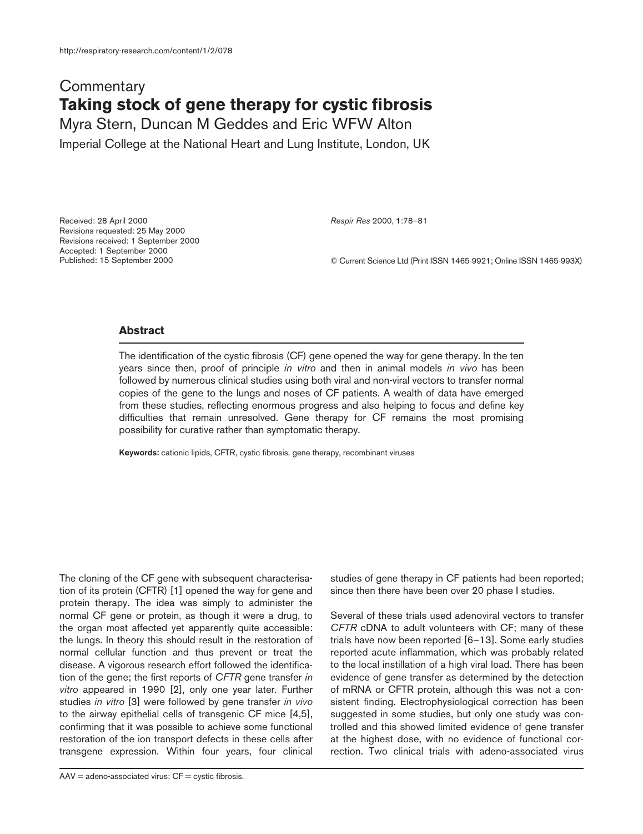## **Commentary Taking stock of gene therapy for cystic fibrosis**

Myra Stern, Duncan M Geddes and Eric WFW Alton

Imperial College at the National Heart and Lung Institute, London, UK

Received: 28 April 2000 Revisions requested: 25 May 2000 Revisions received: 1 September 2000 Accepted: 1 September 2000 Published: 15 September 2000

*Respir Res* 2000, **1**:78–81

© Current Science Ltd (Print ISSN 1465-9921; Online ISSN 1465-993X)

## **Abstract**

The identification of the cystic fibrosis (CF) gene opened the way for gene therapy. In the ten years since then, proof of principle *in vitro* and then in animal models *in vivo* has been followed by numerous clinical studies using both viral and non-viral vectors to transfer normal copies of the gene to the lungs and noses of CF patients. A wealth of data have emerged from these studies, reflecting enormous progress and also helping to focus and define key difficulties that remain unresolved. Gene therapy for CF remains the most promising possibility for curative rather than symptomatic therapy.

**Keywords:** cationic lipids, CFTR, cystic fibrosis, gene therapy, recombinant viruses

The cloning of the CF gene with subsequent characterisation of its protein (CFTR) [1] opened the way for gene and protein therapy. The idea was simply to administer the normal CF gene or protein, as though it were a drug, to the organ most affected yet apparently quite accessible: the lungs. In theory this should result in the restoration of normal cellular function and thus prevent or treat the disease. A vigorous research effort followed the identification of the gene; the first reports of *CFTR* gene transfer *in vitro* appeared in 1990 [2], only one year later. Further studies *in vitro* [3] were followed by gene transfer *in vivo* to the airway epithelial cells of transgenic CF mice [4,5], confirming that it was possible to achieve some functional restoration of the ion transport defects in these cells after transgene expression. Within four years, four clinical

studies of gene therapy in CF patients had been reported; since then there have been over 20 phase I studies.

Several of these trials used adenoviral vectors to transfer *CFTR* cDNA to adult volunteers with CF; many of these trials have now been reported [6–13]. Some early studies reported acute inflammation, which was probably related to the local instillation of a high viral load. There has been evidence of gene transfer as determined by the detection of mRNA or CFTR protein, although this was not a consistent finding. Electrophysiological correction has been suggested in some studies, but only one study was controlled and this showed limited evidence of gene transfer at the highest dose, with no evidence of functional correction. Two clinical trials with adeno-associated virus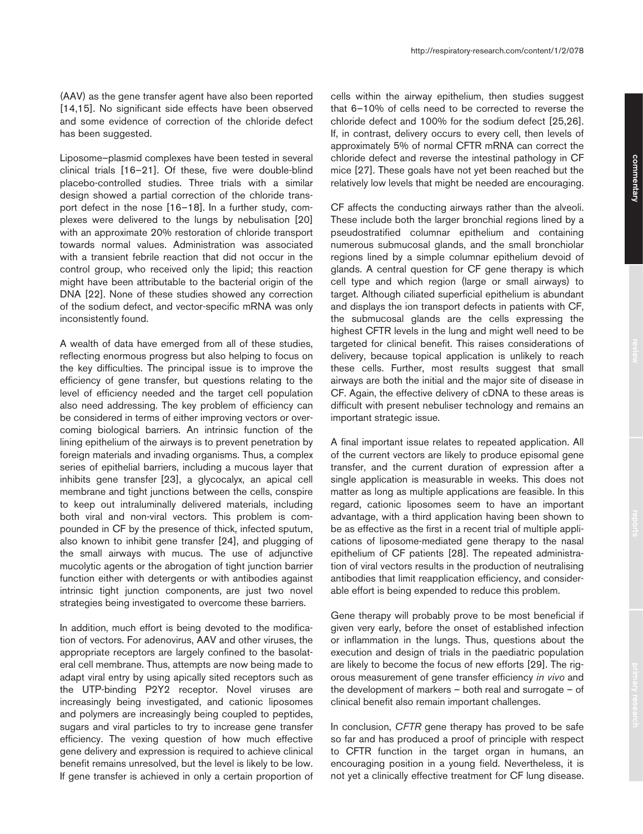(AAV) as the gene transfer agent have also been reported [14,15]. No significant side effects have been observed and some evidence of correction of the chloride defect has been suggested.

Liposome–plasmid complexes have been tested in several clinical trials [16–21]. Of these, five were double-blind placebo-controlled studies. Three trials with a similar design showed a partial correction of the chloride transport defect in the nose [16–18]. In a further study, complexes were delivered to the lungs by nebulisation [20] with an approximate 20% restoration of chloride transport towards normal values. Administration was associated with a transient febrile reaction that did not occur in the control group, who received only the lipid; this reaction might have been attributable to the bacterial origin of the DNA [22]. None of these studies showed any correction of the sodium defect, and vector-specific mRNA was only inconsistently found.

A wealth of data have emerged from all of these studies, reflecting enormous progress but also helping to focus on the key difficulties. The principal issue is to improve the efficiency of gene transfer, but questions relating to the level of efficiency needed and the target cell population also need addressing. The key problem of efficiency can be considered in terms of either improving vectors or overcoming biological barriers. An intrinsic function of the lining epithelium of the airways is to prevent penetration by foreign materials and invading organisms. Thus, a complex series of epithelial barriers, including a mucous layer that inhibits gene transfer [23], a glycocalyx, an apical cell membrane and tight junctions between the cells, conspire to keep out intraluminally delivered materials, including both viral and non-viral vectors. This problem is compounded in CF by the presence of thick, infected sputum, also known to inhibit gene transfer [24], and plugging of the small airways with mucus. The use of adjunctive mucolytic agents or the abrogation of tight junction barrier function either with detergents or with antibodies against intrinsic tight junction components, are just two novel strategies being investigated to overcome these barriers.

In addition, much effort is being devoted to the modification of vectors. For adenovirus, AAV and other viruses, the appropriate receptors are largely confined to the basolateral cell membrane. Thus, attempts are now being made to adapt viral entry by using apically sited receptors such as the UTP-binding P2Y2 receptor. Novel viruses are increasingly being investigated, and cationic liposomes and polymers are increasingly being coupled to peptides, sugars and viral particles to try to increase gene transfer efficiency. The vexing question of how much effective gene delivery and expression is required to achieve clinical benefit remains unresolved, but the level is likely to be low. If gene transfer is achieved in only a certain proportion of cells within the airway epithelium, then studies suggest that 6–10% of cells need to be corrected to reverse the chloride defect and 100% for the sodium defect [25,26]. If, in contrast, delivery occurs to every cell, then levels of approximately 5% of normal CFTR mRNA can correct the chloride defect and reverse the intestinal pathology in CF mice [27]. These goals have not yet been reached but the relatively low levels that might be needed are encouraging.

CF affects the conducting airways rather than the alveoli. These include both the larger bronchial regions lined by a pseudostratified columnar epithelium and containing numerous submucosal glands, and the small bronchiolar regions lined by a simple columnar epithelium devoid of glands. A central question for CF gene therapy is which cell type and which region (large or small airways) to target. Although ciliated superficial epithelium is abundant and displays the ion transport defects in patients with CF, the submucosal glands are the cells expressing the highest CFTR levels in the lung and might well need to be targeted for clinical benefit. This raises considerations of delivery, because topical application is unlikely to reach these cells. Further, most results suggest that small airways are both the initial and the major site of disease in CF. Again, the effective delivery of cDNA to these areas is difficult with present nebuliser technology and remains an important strategic issue.

A final important issue relates to repeated application. All of the current vectors are likely to produce episomal gene transfer, and the current duration of expression after a single application is measurable in weeks. This does not matter as long as multiple applications are feasible. In this regard, cationic liposomes seem to have an important advantage, with a third application having been shown to be as effective as the first in a recent trial of multiple applications of liposome-mediated gene therapy to the nasal epithelium of CF patients [28]. The repeated administration of viral vectors results in the production of neutralising antibodies that limit reapplication efficiency, and considerable effort is being expended to reduce this problem.

Gene therapy will probably prove to be most beneficial if given very early, before the onset of established infection or inflammation in the lungs. Thus, questions about the execution and design of trials in the paediatric population are likely to become the focus of new efforts [29]. The rigorous measurement of gene transfer efficiency *in vivo* and the development of markers – both real and surrogate – of clinical benefit also remain important challenges.

In conclusion, *CFTR* gene therapy has proved to be safe so far and has produced a proof of principle with respect to CFTR function in the target organ in humans, an encouraging position in a young field. Nevertheless, it is not yet a clinically effective treatment for CF lung disease.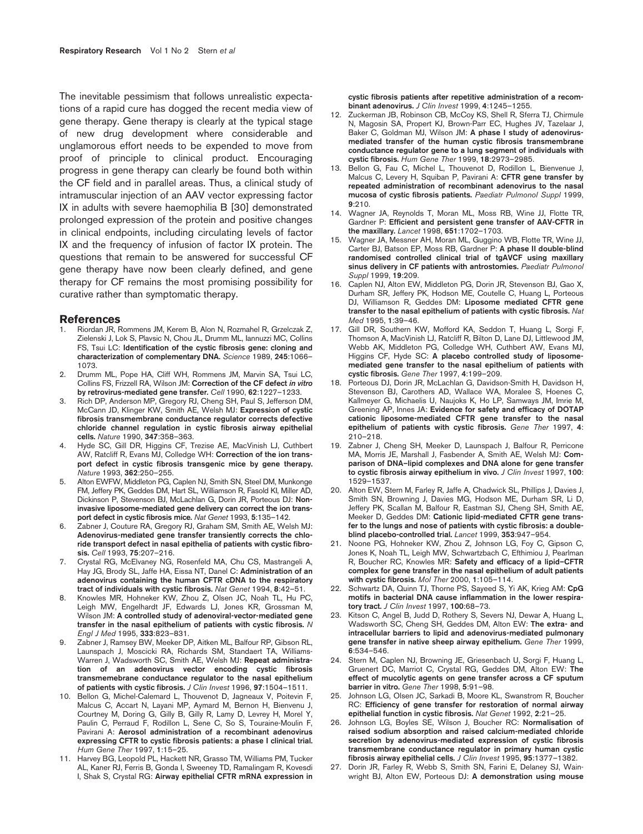The inevitable pessimism that follows unrealistic expectations of a rapid cure has dogged the recent media view of gene therapy. Gene therapy is clearly at the typical stage of new drug development where considerable and unglamorous effort needs to be expended to move from proof of principle to clinical product. Encouraging progress in gene therapy can clearly be found both within the CF field and in parallel areas. Thus, a clinical study of intramuscular injection of an AAV vector expressing factor IX in adults with severe haemophilia B [30] demonstrated prolonged expression of the protein and positive changes in clinical endpoints, including circulating levels of factor IX and the frequency of infusion of factor IX protein. The questions that remain to be answered for successful CF gene therapy have now been clearly defined, and gene therapy for CF remains the most promising possibility for curative rather than symptomatic therapy.

## **References**

- 1. Riordan JR, Rommens JM, Kerem B, Alon N, Rozmahel R, Grzelczak Z, Zielenski J, Lok S, Plavsic N, Chou JL, Drumm ML, Iannuzzi MC, Collins FS, Tsui LC: **Identification of the cystic fibrosis gene: cloning and characterization of complementary DNA.** *Science* 1989, **245**:1066– 1073.
- 2. Drumm ML, Pope HA, Cliff WH, Rommens JM, Marvin SA, Tsui LC, Collins FS, Frizzell RA, Wilson JM: **Correction of the CF defect** *in vitro* **by retrovirus-mediated gene transfer.** *Cell* 1990, **62**:1227–1233.
- 3. Rich DP, Anderson MP, Gregory RJ, Cheng SH, Paul S, Jefferson DM, McCann JD, Klinger KW, Smith AE, Welsh MJ: **Expression of cystic fibrosis transmembrane conductance regulator corrects defective chloride channel regulation in cystic fibrosis airway epithelial cells.** *Nature* 1990, **347**:358–363.
- 4. Hyde SC, Gill DR, Higgins CF, Trezise AE, MacVinish LJ, Cuthbert AW, Ratcliff R, Evans MJ, Colledge WH: **Correction of the ion transport defect in cystic fibrosis transgenic mice by gene therapy.** *Nature* 1993, **362**:250–255.
- Alton EWFW, Middleton PG, Caplen NJ, Smith SN, Steel DM, Munkonge FM, Jeffery PK, Geddes DM, Hart SL, Williamson R, Fasold KI, Miller AD, Dickinson P, Stevenson BJ, McLachlan G, Dorin JR, Porteous DJ: **Noninvasive liposome-mediated gene delivery can correct the ion transport defect in cystic fibrosis mice.** *Nat Genet* 1993, **5**:135–142.
- 6. Zabner J, Couture RA, Gregory RJ, Graham SM, Smith AE, Welsh MJ: **Adenovirus-mediated gene transfer transiently corrects the chloride transport defect in nasal epithelia of patients with cystic fibrosis.** *Cell* 1993, **75**:207–216.
- 7. Crystal RG, McElvaney NG, Rosenfeld MA, Chu CS, Mastrangeli A, Hay JG, Brody SL, Jaffe HA, Eissa NT, Danel C: **Administration of an adenovirus containing the human CFTR cDNA to the respiratory tract of individuals with cystic fibrosis.** *Nat Genet* 1994, **8**:42–51.
- 8. Knowles MR, Hohneker KW, Zhou Z, Olsen JC, Noah TL, Hu PC, Leigh MW, Engelhardt JF, Edwards LJ, Jones KR, Grossman M, Wilson JM: **A controlled study of adenoviral-vector-mediated gene transfer in the nasal epithelium of patients with cystic fibrosis.** *N Engl J Med* 1995, **333**:823–831.
- Zabner J, Ramsey BW, Meeker DP, Aitken ML, Balfour RP, Gibson RL, Launspach J, Moscicki RA, Richards SM, Standaert TA, Williams-Warren J, Wadsworth SC, Smith AE, Welsh MJ: **Repeat administration of an adenovirus vector encoding cystic fibrosis transmemebrane conductance regulator to the nasal epithelium of patients with cystic fibrosis.** *J Clin Invest* 1996, **97**:1504–1511.
- 10. Bellon G, Michel-Calemard L, Thouvenot D, Jagneaux V, Poitevin F, Malcus C, Accart N, Layani MP, Aymard M, Bernon H, Bienvenu J, Courtney M, Doring G, Gilly B, Gilly R, Lamy D, Levrey H, Morel Y, Paulin C, Perraud F, Rodillon L, Sene C, So S, Touraine-Moulin F, Pavirani A: **Aerosol administration of a recombinant adenovirus expressing CFTR to cystic fibrosis patients: a phase I clinical trial.** *Hum Gene Ther* 1997, **1**:15–25.
- 11. Harvey BG, Leopold PL, Hackett NR, Grasso TM, Williams PM, Tucker AL, Kaner RJ, Ferris B, Gonda I, Sweeney TD, Ramalingam R, Kovesdi I, Shak S, Crystal RG: **Airway epithelial CFTR mRNA expression in**

**cystic fibrosis patients after repetitive administration of a recombinant adenovirus.** *J Clin Invest* 1999, **4**:1245–1255.

- 12. Zuckerman JB, Robinson CB, McCoy KS, Shell R, Sferra TJ, Chirmule N, Magosin SA, Propert KJ, Brown-Parr EC, Hughes JV, Tazelaar J, Baker C, Goldman MJ, Wilson JM: **A phase I study of adenovirusmediated transfer of the human cystic fibrosis transmembrane conductance regulator gene to a lung segment of individuals with cystic fibrosis.** *Hum Gene Ther* 1999, **18**:2973–2985.
- 13. Bellon G, Fau C, Michel L, Thouvenot D, Rodillon L, Bienvenue J, Malcus C, Levery H, Squiban P, Pavirani A: **CFTR gene transfer by repeated administration of recombinant adenovirus to the nasal mucosa of cystic fibrosis patients.** *Paediatr Pulmonol Suppl* 1999, **9**:210.
- 14. Wagner JA, Reynolds T, Moran ML, Moss RB, Wine JJ, Flotte TR, Gardner P: **Efficient and persistent gene transfer of AAV-CFTR in the maxillary.** *Lancet* 1998, **651**:1702–1703.
- 15. Wagner JA, Messner AH, Moran ML, Guggino WB, Flotte TR, Wine JJ, Carter BJ, Batson EP, Moss RB, Gardner P: **A phase II double-blind randomised controlled clinical trial of tgAVCF using maxillary sinus delivery in CF patients with antrostomies.** *Paediatr Pulmonol Suppl* 1999, **19**:209.
- 16. Caplen NJ, Alton EW, Middleton PG, Dorin JR, Stevenson BJ, Gao X, Durham SR, Jeffery PK, Hodson ME, Coutelle C, Huang L, Porteous DJ, Williamson R, Geddes DM: **Liposome mediated CFTR gene transfer to the nasal epithelium of patients with cystic fibrosis.** *Nat Med* 1995, **1**:39–46.
- 17. Gill DR, Southern KW, Mofford KA, Seddon T, Huang L, Sorgi F, Thomson A, MacVinish LJ, Ratcliff R, Bilton D, Lane DJ, Littlewood JM, Webb AK, Middleton PG, Colledge WH, Cuthbert AW, Evans MJ, Higgins CF, Hyde SC: **A placebo controlled study of liposomemediated gene transfer to the nasal epithelium of patients with cystic fibrosis.** *Gene Ther* 1997, **4**:199–209.
- 18. Porteous DJ, Dorin JR, McLachlan G, Davidson-Smith H, Davidson H, Stevenson BJ, Carothers AD, Wallace WA, Moralee S, Hoenes C, Kallmeyer G, Michaelis U, Naujoks K, Ho LP, Samways JM, Imrie M, Greening AP, Innes JA: **Evidence for safety and efficacy of DOTAP cationic liposome-mediated CFTR gene transfer to the nasal epithelium of patients with cystic fibrosis.** *Gene Ther* 1997, **4**: 210–218.
- 19. Zabner J, Cheng SH, Meeker D, Launspach J, Balfour R, Perricone MA, Morris JE, Marshall J, Fasbender A, Smith AE, Welsh MJ: **Comparison of DNA–lipid complexes and DNA alone for gene transfer to cystic fibrosis airway epithelium in vivo.** *J Clin Invest* 1997, **100**: 1529–1537.
- 20. Alton EW, Stern M, Farley R, Jaffe A, Chadwick SL, Phillips J, Davies J, Smith SN, Browning J, Davies MG, Hodson ME, Durham SR, Li D, Jeffery PK, Scallan M, Balfour R, Eastman SJ, Cheng SH, Smith AE, Meeker D, Geddes DM: **Cationic lipid-mediated CFTR gene transfer to the lungs and nose of patients with cystic fibrosis: a doubleblind placebo-controlled trial.** *Lancet* 1999, **353**:947–954.
- 21. Noone PG, Hohneker KW, Zhou Z, Johnson LG, Foy C, Gipson C, Jones K, Noah TL, Leigh MW, Schwartzbach C, Efthimiou J, Pearlman R, Boucher RC, Knowles MR: **Safety and efficacy of a lipid–CFTR complex for gene transfer in the nasal epithelium of adult patients with cystic fibrosis.** *Mol Ther* 2000, **1**:105–114.
- 22. Schwartz DA, Quinn TJ, Thorne PS, Sayeed S, Yi AK, Krieg AM: **CpG motifs in bacterial DNA cause inflammation in the lower respiratory tract.** *J Clin Invest* 1997, **100**:68–73.
- 23. Kitson C, Angel B, Judd D, Rothery S, Severs NJ, Dewar A, Huang L, Wadsworth SC, Cheng SH, Geddes DM, Alton EW: **The extra- and intracellular barriers to lipid and adenovirus-mediated pulmonary gene transfer in native sheep airway epithelium.** *Gene Ther* 1999, **6**:534–546.
- 24. Stern M, Caplen NJ, Browning JE, Griesenbach U, Sorgi F, Huang L, Gruenert DC, Marriot C, Crystal RG, Geddes DM, Alton EW: **The effect of mucolytic agents on gene transfer across a CF sputum barrier in vitro.** *Gene Ther* 1998, **5**:91–98.
- 25. Johnson LG, Olsen JC, Sarkadi B, Moore KL, Swanstrom R, Boucher RC: **Efficiency of gene transfer for restoration of normal airway epithelial function in cystic fibrosis.** *Nat Genet* 1992, **2**:21–25.
- 26. Johnson LG, Boyles SE, Wilson J, Boucher RC: **Normalisation of raised sodium absorption and raised calcium-mediated chloride secretion by adenovirus-mediated expression of cystic fibrosis transmembrane conductance regulator in primary human cystic fibrosis airway epithelial cells.** *J Clin Invest* 1995, **95**:1377–1382.
- 27. Dorin JR, Farley R, Webb S, Smith SN, Farini E, Delaney SJ, Wainwright BJ, Alton EW, Porteous DJ: **A demonstration using mouse**